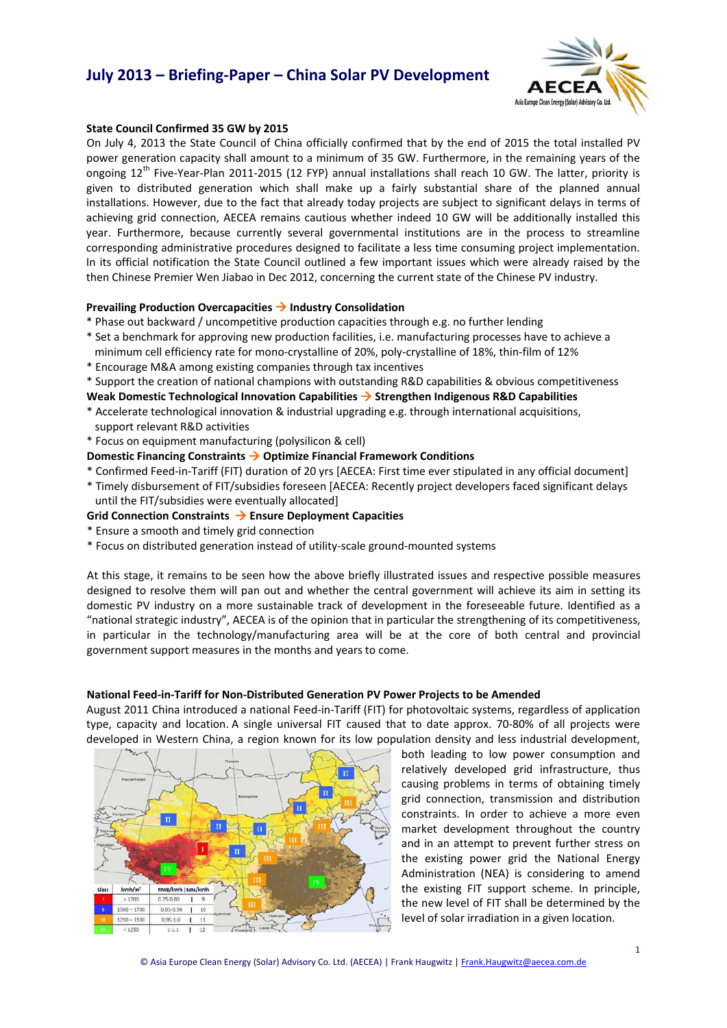

### **State Council Confirmed 35 GW by 2015**

On July 4, 2013 the State Council of China officially confirmed that by the end of 2015 the total installed PV power generation capacity shall amount to a minimum of 35 GW. Furthermore, in the remaining years of the ongoing 12<sup>th</sup> Five-Year-Plan 2011-2015 (12 FYP) annual installations shall reach 10 GW. The latter, priority is given to distributed generation which shall make up a fairly substantial share of the planned annual installations. However, due to the fact that already today projects are subject to significant delays in terms of achieving grid connection, AECEA remains cautious whether indeed 10 GW will be additionally installed this year. Furthermore, because currently several governmental institutions are in the process to streamline corresponding administrative procedures designed to facilitate a less time consuming project implementation. In its official notification the State Council outlined a few important issues which were already raised by the then Chinese Premier Wen Jiabao in Dec 2012, concerning the current state of the Chinese PV industry.

### **Prevailing Production Overcapacities**  $\rightarrow$  **Industry Consolidation**

- \* Phase out backward / uncompetitive production capacities through e.g. no further lending
- \* Set a benchmark for approving new production facilities, i.e. manufacturing processes have to achieve a minimum cell efficiency rate for mono-crystalline of 20%, poly-crystalline of 18%, thin-film of 12%
- \* Encourage M&A among existing companies through tax incentives
- \* Support the creation of national champions with outstanding R&D capabilities & obvious competitiveness

### **Weak Domestic Technological Innovation Capabilities → Strengthen Indigenous R&D Capabilities**

- \* Accelerate technological innovation & industrial upgrading e.g. through international acquisitions, support relevant R&D activities
- \* Focus on equipment manufacturing (polysilicon & cell)

### **Domestic Financing Constraints → Optimize Financial Framework Conditions**

- \* Confirmed Feed‐in‐Tariff (FIT) duration of 20 yrs [AECEA: First time ever stipulated in any official document]
- \* Timely disbursement of FIT/subsidies foreseen [AECEA: Recently project developers faced significant delays until the FIT/subsidies were eventually allocated]

### **Grid Connection Constraints** Æ **Ensure Deployment Capacities**

- \* Ensure a smooth and timely grid connection
- \* Focus on distributed generation instead of utility‐scale ground‐mounted systems

At this stage, it remains to be seen how the above briefly illustrated issues and respective possible measures designed to resolve them will pan out and whether the central government will achieve its aim in setting its domestic PV industry on a more sustainable track of development in the foreseeable future. Identified as a "national strategic industry", AECEA is of the opinion that in particular the strengthening of its competitiveness, in particular in the technology/manufacturing area will be at the core of both central and provincial government support measures in the months and years to come.

### **National Feed‐in‐Tariff for Non‐Distributed Generation PV Power Projects to be Amended**

August 2011 China introduced a national Feed‐in‐Tariff (FIT) for photovoltaic systems, regardless of application type, capacity and location. A single universal FIT caused that to date approx. 70‐80% of all projects were developed in Western China, a region known for its low population density and less industrial development,



both leading to low power consumption and relatively developed grid infrastructure, thus causing problems in terms of obtaining timely grid connection, transmission and distribution constraints. In order to achieve a more even market development throughout the country and in an attempt to prevent further stress on the existing power grid the National Energy Administration (NEA) is considering to amend the existing FIT support scheme. In principle, the new level of FIT shall be determined by the level of solar irradiation in a given location.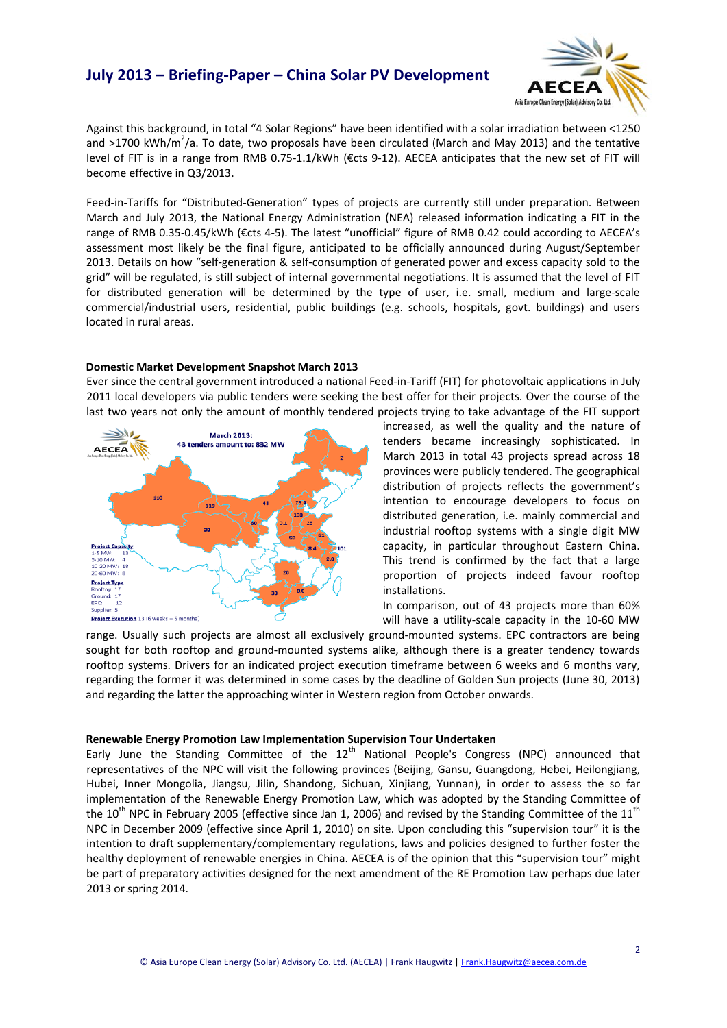

Against this background, in total "4 Solar Regions" have been identified with a solar irradiation between <1250 and >1700 kWh/m<sup>2</sup>/a. To date, two proposals have been circulated (March and May 2013) and the tentative level of FIT is in a range from RMB 0.75‐1.1/kWh (€cts 9‐12). AECEA anticipates that the new set of FIT will become effective in Q3/2013.

Feed-in-Tariffs for "Distributed-Generation" types of projects are currently still under preparation. Between March and July 2013, the National Energy Administration (NEA) released information indicating a FIT in the range of RMB 0.35‐0.45/kWh (€cts 4‐5). The latest "unofficial" figure of RMB 0.42 could according to AECEA's assessment most likely be the final figure, anticipated to be officially announced during August/September 2013. Details on how "self‐generation & self‐consumption of generated power and excess capacity sold to the grid" will be regulated, is still subject of internal governmental negotiations. It is assumed that the level of FIT for distributed generation will be determined by the type of user, i.e. small, medium and large-scale commercial/industrial users, residential, public buildings (e.g. schools, hospitals, govt. buildings) and users located in rural areas.

### **Domestic Market Development Snapshot March 2013**

Ever since the central government introduced a national Feed‐in‐Tariff (FIT) for photovoltaic applications in July 2011 local developers via public tenders were seeking the best offer for their projects. Over the course of the last two years not only the amount of monthly tendered projects trying to take advantage of the FIT support



increased, as well the quality and the nature of tenders became increasingly sophisticated. In March 2013 in total 43 projects spread across 18 provinces were publicly tendered. The geographical distribution of projects reflects the government's intention to encourage developers to focus on distributed generation, i.e. mainly commercial and industrial rooftop systems with a single digit MW capacity, in particular throughout Eastern China. This trend is confirmed by the fact that a large proportion of projects indeed favour rooftop installations.

In comparison, out of 43 projects more than 60% will have a utility-scale capacity in the 10-60 MW

range. Usually such projects are almost all exclusively ground-mounted systems. EPC contractors are being sought for both rooftop and ground-mounted systems alike, although there is a greater tendency towards rooftop systems. Drivers for an indicated project execution timeframe between 6 weeks and 6 months vary, regarding the former it was determined in some cases by the deadline of Golden Sun projects (June 30, 2013) and regarding the latter the approaching winter in Western region from October onwards.

### **Renewable Energy Promotion Law Implementation Supervision Tour Undertaken**

Early June the Standing Committee of the  $12<sup>th</sup>$  National People's Congress (NPC) announced that representatives of the NPC will visit the following provinces (Beijing, Gansu, Guangdong, Hebei, Heilongjiang, Hubei, Inner Mongolia, Jiangsu, Jilin, Shandong, Sichuan, Xinjiang, Yunnan), in order to assess the so far implementation of the Renewable Energy Promotion Law, which was adopted by the Standing Committee of the  $10^{th}$  NPC in February 2005 (effective since Jan 1, 2006) and revised by the Standing Committee of the  $11^{th}$ NPC in December 2009 (effective since April 1, 2010) on site. Upon concluding this "supervision tour" it is the intention to draft supplementary/complementary regulations, laws and policies designed to further foster the healthy deployment of renewable energies in China. AECEA is of the opinion that this "supervision tour" might be part of preparatory activities designed for the next amendment of the RE Promotion Law perhaps due later 2013 or spring 2014.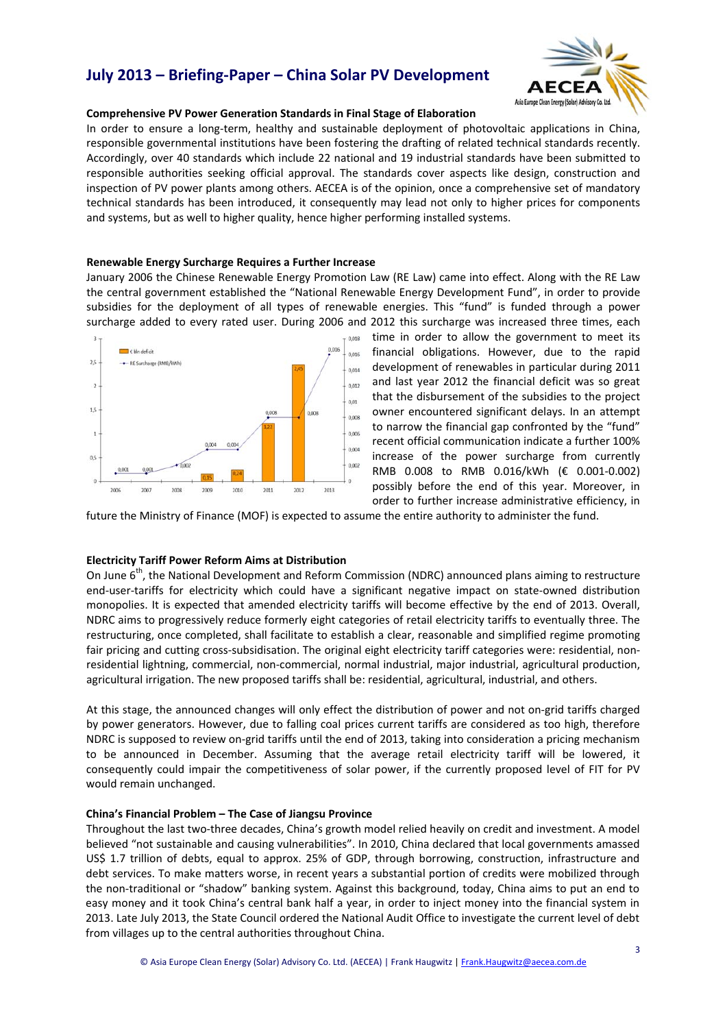

### **Comprehensive PV Power Generation Standards in Final Stage of Elaboration**

In order to ensure a long-term, healthy and sustainable deployment of photovoltaic applications in China, responsible governmental institutions have been fostering the drafting of related technical standards recently. Accordingly, over 40 standards which include 22 national and 19 industrial standards have been submitted to responsible authorities seeking official approval. The standards cover aspects like design, construction and inspection of PV power plants among others. AECEA is of the opinion, once a comprehensive set of mandatory technical standards has been introduced, it consequently may lead not only to higher prices for components and systems, but as well to higher quality, hence higher performing installed systems.

### **Renewable Energy Surcharge Requires a Further Increase**

January 2006 the Chinese Renewable Energy Promotion Law (RE Law) came into effect. Along with the RE Law the central government established the "National Renewable Energy Development Fund", in order to provide subsidies for the deployment of all types of renewable energies. This "fund" is funded through a power surcharge added to every rated user. During 2006 and 2012 this surcharge was increased three times, each



time in order to allow the government to meet its financial obligations. However, due to the rapid development of renewables in particular during 2011 and last year 2012 the financial deficit was so great that the disbursement of the subsidies to the project owner encountered significant delays. In an attempt to narrow the financial gap confronted by the "fund" recent official communication indicate a further 100% increase of the power surcharge from currently RMB 0.008 to RMB 0.016/kWh (€ 0.001‐0.002) possibly before the end of this year. Moreover, in order to further increase administrative efficiency, in

future the Ministry of Finance (MOF) is expected to assume the entire authority to administer the fund.

### **Electricity Tariff Power Reform Aims at Distribution**

On June 6<sup>th</sup>, the National Development and Reform Commission (NDRC) announced plans aiming to restructure end-user-tariffs for electricity which could have a significant negative impact on state-owned distribution monopolies. It is expected that amended electricity tariffs will become effective by the end of 2013. Overall, NDRC aims to progressively reduce formerly eight categories of retail electricity tariffs to eventually three. The restructuring, once completed, shall facilitate to establish a clear, reasonable and simplified regime promoting fair pricing and cutting cross-subsidisation. The original eight electricity tariff categories were: residential, nonresidential lightning, commercial, non‐commercial, normal industrial, major industrial, agricultural production, agricultural irrigation. The new proposed tariffs shall be: residential, agricultural, industrial, and others.

At this stage, the announced changes will only effect the distribution of power and not on‐grid tariffs charged by power generators. However, due to falling coal prices current tariffs are considered as too high, therefore NDRC is supposed to review on‐grid tariffs until the end of 2013, taking into consideration a pricing mechanism to be announced in December. Assuming that the average retail electricity tariff will be lowered, it consequently could impair the competitiveness of solar power, if the currently proposed level of FIT for PV would remain unchanged.

### **China's Financial Problem – The Case of Jiangsu Province**

Throughout the last two‐three decades, China's growth model relied heavily on credit and investment. A model believed "not sustainable and causing vulnerabilities". In 2010, China declared that local governments amassed US\$ 1.7 trillion of debts, equal to approx. 25% of GDP, through borrowing, construction, infrastructure and debt services. To make matters worse, in recent years a substantial portion of credits were mobilized through the non-traditional or "shadow" banking system. Against this background, today, China aims to put an end to easy money and it took China's central bank half a year, in order to inject money into the financial system in 2013. Late July 2013, the State Council ordered the National Audit Office to investigate the current level of debt from villages up to the central authorities throughout China.